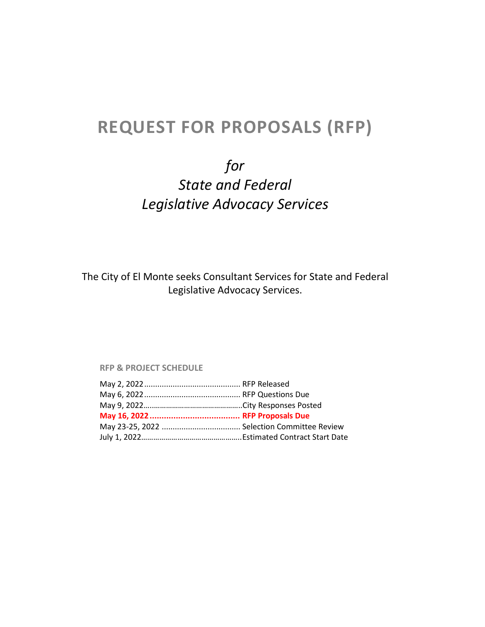# **REQUEST FOR PROPOSALS (RFP)**

# *for State and Federal Legislative Advocacy Services*

The City of El Monte seeks Consultant Services for State and Federal Legislative Advocacy Services.

#### **RFP & PROJECT SCHEDULE**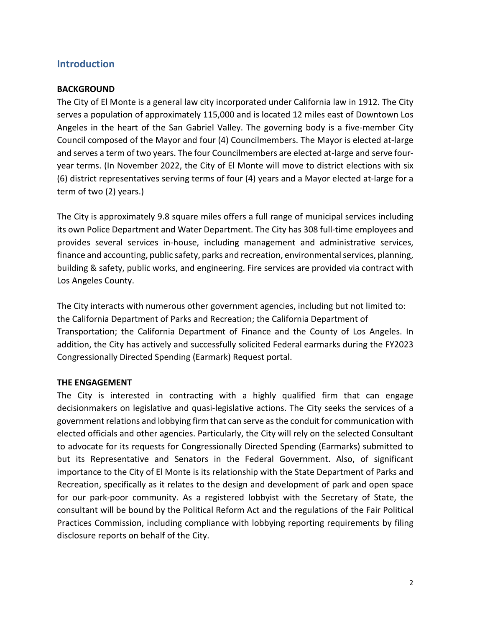## **Introduction**

## **BACKGROUND**

The City of El Monte is a general law city incorporated under California law in 1912. The City serves a population of approximately 115,000 and is located 12 miles east of Downtown Los Angeles in the heart of the San Gabriel Valley. The governing body is a five-member City Council composed of the Mayor and four (4) Councilmembers. The Mayor is elected at-large and serves a term of two years. The four Councilmembers are elected at-large and serve fouryear terms. (In November 2022, the City of El Monte will move to district elections with six (6) district representatives serving terms of four (4) years and a Mayor elected at-large for a term of two (2) years.)

The City is approximately 9.8 square miles offers a full range of municipal services including its own Police Department and Water Department. The City has 308 full-time employees and provides several services in-house, including management and administrative services, finance and accounting, public safety, parks and recreation, environmental services, planning, building & safety, public works, and engineering. Fire services are provided via contract with Los Angeles County.

The City interacts with numerous other government agencies, including but not limited to: the California Department of Parks and Recreation; the California Department of Transportation; the California Department of Finance and the County of Los Angeles. In addition, the City has actively and successfully solicited Federal earmarks during the FY2023 Congressionally Directed Spending (Earmark) Request portal.

#### **THE ENGAGEMENT**

The City is interested in contracting with a highly qualified firm that can engage decisionmakers on legislative and quasi-legislative actions. The City seeks the services of a government relations and lobbying firm that can serve as the conduit for communication with elected officials and other agencies. Particularly, the City will rely on the selected Consultant to advocate for its requests for Congressionally Directed Spending (Earmarks) submitted to but its Representative and Senators in the Federal Government. Also, of significant importance to the City of El Monte is its relationship with the State Department of Parks and Recreation, specifically as it relates to the design and development of park and open space for our park-poor community. As a registered lobbyist with the Secretary of State, the consultant will be bound by the Political Reform Act and the regulations of the Fair Political Practices Commission, including compliance with lobbying reporting requirements by filing disclosure reports on behalf of the City.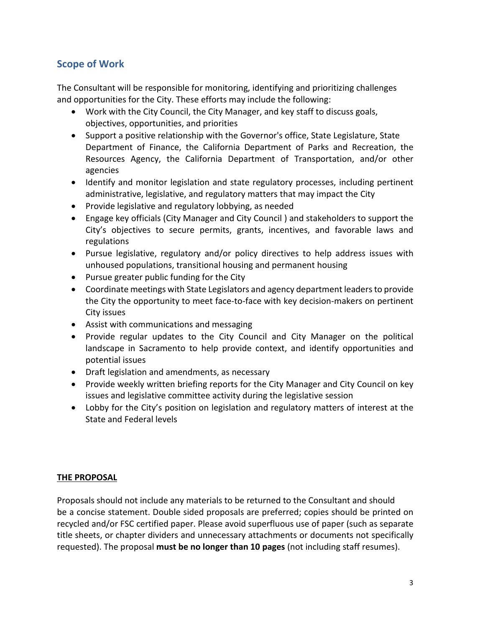# **Scope of Work**

The Consultant will be responsible for monitoring, identifying and prioritizing challenges and opportunities for the City. These efforts may include the following:

- Work with the City Council, the City Manager, and key staff to discuss goals, objectives, opportunities, and priorities
- Support a positive relationship with the Governor's office, State Legislature, State Department of Finance, the California Department of Parks and Recreation, the Resources Agency, the California Department of Transportation, and/or other agencies
- Identify and monitor legislation and state regulatory processes, including pertinent administrative, legislative, and regulatory matters that may impact the City
- Provide legislative and regulatory lobbying, as needed
- Engage key officials (City Manager and City Council ) and stakeholders to support the City's objectives to secure permits, grants, incentives, and favorable laws and regulations
- Pursue legislative, regulatory and/or policy directives to help address issues with unhoused populations, transitional housing and permanent housing
- Pursue greater public funding for the City
- Coordinate meetings with State Legislators and agency department leaders to provide the City the opportunity to meet face-to-face with key decision-makers on pertinent City issues
- Assist with communications and messaging
- Provide regular updates to the City Council and City Manager on the political landscape in Sacramento to help provide context, and identify opportunities and potential issues
- Draft legislation and amendments, as necessary
- Provide weekly written briefing reports for the City Manager and City Council on key issues and legislative committee activity during the legislative session
- Lobby for the City's position on legislation and regulatory matters of interest at the State and Federal levels

## **THE PROPOSAL**

Proposals should not include any materials to be returned to the Consultant and should be a concise statement. Double sided proposals are preferred; copies should be printed on recycled and/or FSC certified paper. Please avoid superfluous use of paper (such as separate title sheets, or chapter dividers and unnecessary attachments or documents not specifically requested). The proposal **must be no longer than 10 pages** (not including staff resumes).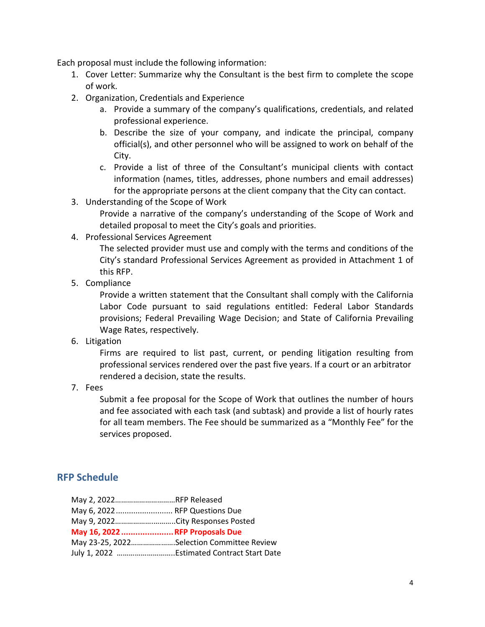Each proposal must include the following information:

- 1. Cover Letter: Summarize why the Consultant is the best firm to complete the scope of work.
- 2. Organization, Credentials and Experience
	- a. Provide a summary of the company's qualifications, credentials, and related professional experience.
	- b. Describe the size of your company, and indicate the principal, company official(s), and other personnel who will be assigned to work on behalf of the City.
	- c. Provide a list of three of the Consultant's municipal clients with contact information (names, titles, addresses, phone numbers and email addresses) for the appropriate persons at the client company that the City can contact.
- 3. Understanding of the Scope of Work

Provide a narrative of the company's understanding of the Scope of Work and detailed proposal to meet the City's goals and priorities.

4. Professional Services Agreement

The selected provider must use and comply with the terms and conditions of the City's standard Professional Services Agreement as provided in Attachment 1 of this RFP.

5. Compliance

Provide a written statement that the Consultant shall comply with the California Labor Code pursuant to said regulations entitled: Federal Labor Standards provisions; Federal Prevailing Wage Decision; and State of California Prevailing Wage Rates, respectively.

6. Litigation

Firms are required to list past, current, or pending litigation resulting from professional services rendered over the past five years. If a court or an arbitrator rendered a decision, state the results.

7. Fees

Submit a fee proposal for the Scope of Work that outlines the number of hours and fee associated with each task (and subtask) and provide a list of hourly rates for all team members. The Fee should be summarized as a "Monthly Fee" for the services proposed.

## **RFP Schedule**

| May 2, 2022RFP Released          |                                            |
|----------------------------------|--------------------------------------------|
| May 6, 2022 RFP Questions Due    |                                            |
| May 9, 2022City Responses Posted |                                            |
| May 16, 2022 RFP Proposals Due   |                                            |
|                                  | May 23-25, 2022Selection Committee Review  |
|                                  | July 1, 2022 Estimated Contract Start Date |